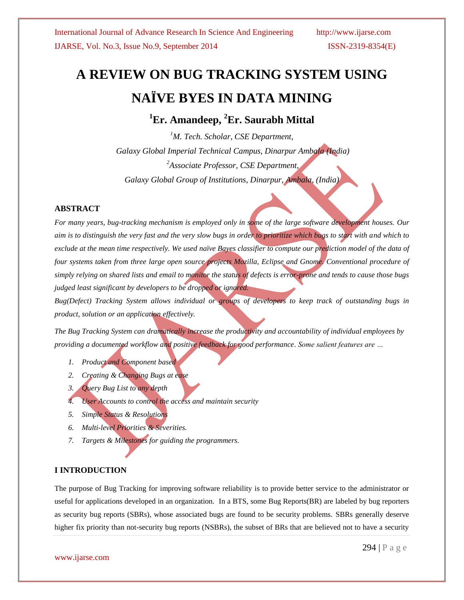# **A REVIEW ON BUG TRACKING SYSTEM USING NAÏVE BYES IN DATA MINING**

**<sup>1</sup>Er. Amandeep, <sup>2</sup>Er. Saurabh Mittal**

*<sup>1</sup>M. Tech. Scholar, CSE Department, Galaxy Global Imperial Technical Campus, Dinarpur Ambala (India) <sup>2</sup>Associate Professor, CSE Department, Galaxy Global Group of Institutions, Dinarpur, Ambala, (India)*

## **ABSTRACT**

*For many years, bug-tracking mechanism is employed only in some of the large software development houses. Our aim is to distinguish the very fast and the very slow bugs in order to prioritize which bugs to start with and which to exclude at the mean time respectively. We used naïve Bayes classifier to compute our prediction model of the data of four systems taken from three large open source projects Mozilla, Eclipse and Gnome. Conventional procedure of simply relying on shared lists and email to monitor the status of defects is error-prone and tends to cause those bugs judged least significant by developers to be dropped or ignored.*

*Bug(Defect) Tracking System allows individual or groups of developers to keep track of outstanding bugs in product, solution or an application effectively.* 

*The Bug Tracking System can dramatically increase the productivity and accountability of individual employees by providing a documented workflow and positive feedback for good performance. Some salient features are …*

- *1. Product and Component based*
- *2. Creating & Changing Bugs at ease*
- *3. Query Bug List to any depth*
- *4. User Accounts to control the access and maintain security*
- *5. Simple Status & Resolutions*
- *6. Multi-level Priorities & Severities.*
- *7. Targets & Milestones for guiding the programmers.*

## **I INTRODUCTION**

The purpose of Bug Tracking for improving software reliability is to provide better service to the administrator or useful for applications developed in an organization. In a BTS, some Bug Reports(BR) are labeled by bug reporters as security bug reports (SBRs), whose associated bugs are found to be security problems. SBRs generally deserve higher fix priority than not-security bug reports (NSBRs), the subset of BRs that are believed not to have a security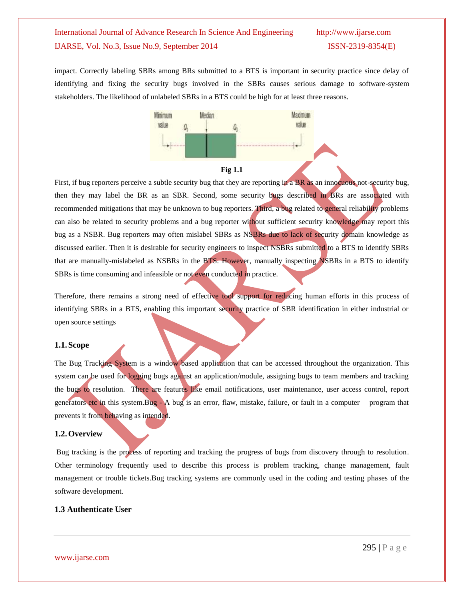impact. Correctly labeling SBRs among BRs submitted to a BTS is important in security practice since delay of identifying and fixing the security bugs involved in the SBRs causes serious damage to software-system stakeholders. The likelihood of unlabeled SBRs in a BTS could be high for at least three reasons.



First, if bug reporters perceive a subtle security bug that they are reporting in a BR as an innocuous not-security bug, then they may label the BR as an SBR. Second, some security bugs described in BRs are associated with recommended mitigations that may be unknown to bug reporters. Third, a bug related to general reliability problems can also be related to security problems and a bug reporter without sufficient security knowledge may report this bug as a NSBR. Bug reporters may often mislabel SBRs as NSBRs due to lack of security domain knowledge as discussed earlier. Then it is desirable for security engineers to inspect NSBRs submitted to a BTS to identify SBRs that are manually-mislabeled as NSBRs in the BTS. However, manually inspecting NSBRs in a BTS to identify SBRs is time consuming and infeasible or not even conducted in practice.

Therefore, there remains a strong need of effective tool support for reducing human efforts in this process of identifying SBRs in a BTS, enabling this important security practice of SBR identification in either industrial or open source settings

## **1.1.Scope**

The Bug Tracking System is a window based application that can be accessed throughout the organization. This system can be used for logging bugs against an application/module, assigning bugs to team members and tracking the bugs to resolution. There are features like email notifications, user maintenance, user access control, report generators etc in this system.Bug - A bug is an error, flaw, mistake, failure, or fault in a computer program that prevents it from behaving as intended.

### **1.2.Overview**

Bug tracking is the process of reporting and tracking the progress of bugs from discovery through to resolution. Other terminology frequently used to describe this process is problem tracking, change management, fault management or trouble tickets.Bug tracking systems are commonly used in the coding and testing phases of the software development.

## **1.3 Authenticate User**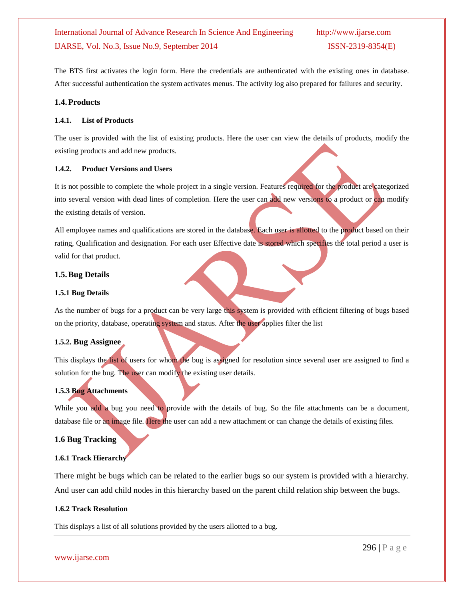The BTS first activates the login form. Here the credentials are authenticated with the existing ones in database. After successful authentication the system activates menus. The activity log also prepared for failures and security.

## **1.4.Products**

## **1.4.1. List of Products**

The user is provided with the list of existing products. Here the user can view the details of products, modify the existing products and add new products.

## **1.4.2. Product Versions and Users**

It is not possible to complete the whole project in a single version. Features required for the product are categorized into several version with dead lines of completion. Here the user can add new versions to a product or can modify the existing details of version.

All employee names and qualifications are stored in the database. Each user is allotted to the product based on their rating, Qualification and designation. For each user Effective date is stored which specifies the total period a user is valid for that product.

## **1.5.Bug Details**

## **1.5.1 Bug Details**

As the number of bugs for a product can be very large this system is provided with efficient filtering of bugs based on the priority, database, operating system and status. After the user applies filter the list

## **1.5.2. Bug Assignee**

This displays the list of users for whom the bug is assigned for resolution since several user are assigned to find a solution for the bug. The user can modify the existing user details.

## **1.5.3 Bug Attachments**

While you add a bug you need to provide with the details of bug. So the file attachments can be a document, database file or an image file. Here the user can add a new attachment or can change the details of existing files.

## **1.6 Bug Tracking**

## **1.6.1 Track Hierarchy**

There might be bugs which can be related to the earlier bugs so our system is provided with a hierarchy. And user can add child nodes in this hierarchy based on the parent child relation ship between the bugs.

## **1.6.2 Track Resolution**

This displays a list of all solutions provided by the users allotted to a bug.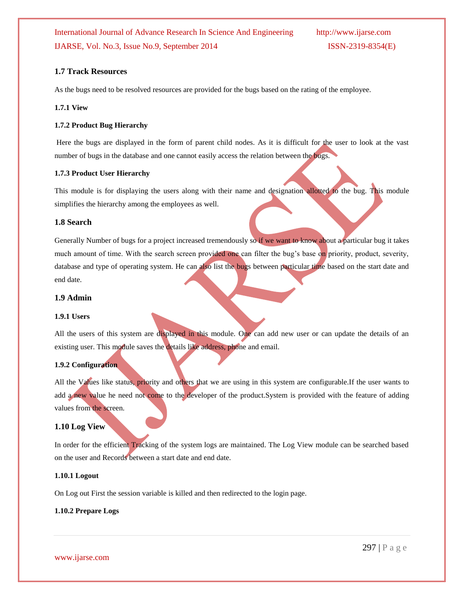## **1.7 Track Resources**

As the bugs need to be resolved resources are provided for the bugs based on the rating of the employee.

## **1.7.1 View**

## **1.7.2 Product Bug Hierarchy**

Here the bugs are displayed in the form of parent child nodes. As it is difficult for the user to look at the vast number of bugs in the database and one cannot easily access the relation between the bugs.

### **1.7.3 Product User Hierarchy**

This module is for displaying the users along with their name and designation allotted to the bug. This module simplifies the hierarchy among the employees as well.

## **1.8 Search**

Generally Number of bugs for a project increased tremendously so if we want to know about a particular bug it takes much amount of time. With the search screen provided one can filter the bug's base on priority, product, severity, database and type of operating system. He can also list the bugs between particular time based on the start date and end date.

## **1.9 Admin**

### **1.9.1 Users**

All the users of this system are displayed in this module. One can add new user or can update the details of an existing user. This module saves the details like address, phone and email.

## **1.9.2 Configuration**

All the Values like status, priority and others that we are using in this system are configurable.If the user wants to add a new value he need not come to the developer of the product.System is provided with the feature of adding values from the screen.

## **1.10 Log View**

In order for the efficient Tracking of the system logs are maintained. The Log View module can be searched based on the user and Records between a start date and end date.

### **1.10.1 Logout**

On Log out First the session variable is killed and then redirected to the login page.

### **1.10.2 Prepare Logs**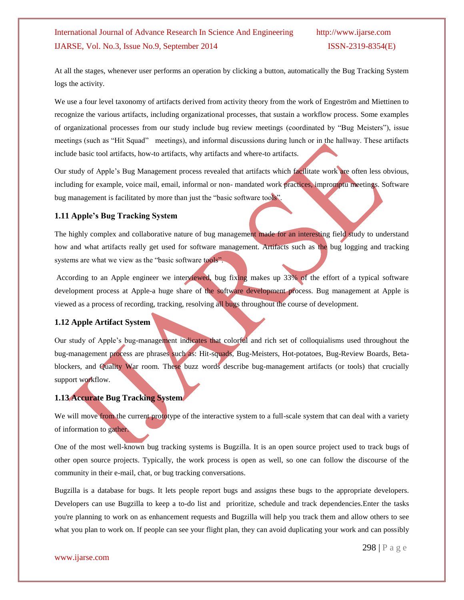At all the stages, whenever user performs an operation by clicking a button, automatically the Bug Tracking System logs the activity.

We use a four level taxonomy of artifacts derived from activity theory from the work of Engeström and Miettinen to recognize the various artifacts, including organizational processes, that sustain a workflow process. Some examples of organizational processes from our study include bug review meetings (coordinated by "Bug Meisters"), issue meetings (such as "Hit Squad" meetings), and informal discussions during lunch or in the hallway. These artifacts include basic tool artifacts, how-to artifacts, why artifacts and where-to artifacts.

Our study of Apple"s Bug Management process revealed that artifacts which facilitate work are often less obvious, including for example, voice mail, email, informal or non- mandated work practices, impromptu meetings. Software bug management is facilitated by more than just the "basic software tools".

## **1.11 Apple's Bug Tracking System**

The highly complex and collaborative nature of bug management made for an interesting field study to understand how and what artifacts really get used for software management. Artifacts such as the bug logging and tracking systems are what we view as the "basic software tools".

According to an Apple engineer we interviewed, bug fixing makes up 33% of the effort of a typical software development process at Apple-a huge share of the software development process. Bug management at Apple is viewed as a process of recording, tracking, resolving all bugs throughout the course of development.

## **1.12 Apple Artifact System**

Our study of Apple"s bug-management indicates that colorful and rich set of colloquialisms used throughout the bug-management process are phrases such as: Hit-squads, Bug-Meisters, Hot-potatoes, Bug-Review Boards, Betablockers, and Quality War room. These buzz words describe bug-management artifacts (or tools) that crucially support workflow.

## **1.13 Accurate Bug Tracking System**

We will move from the current prototype of the interactive system to a full-scale system that can deal with a variety of information to gather.

One of the most well-known bug tracking systems is Bugzilla. It is an open source project used to track bugs of other open source projects. Typically, the work process is open as well, so one can follow the discourse of the community in their e-mail, chat, or bug tracking conversations.

Bugzilla is a database for bugs. It lets people report bugs and assigns these bugs to the appropriate developers. Developers can use Bugzilla to keep a to-do list and prioritize, schedule and track dependencies.Enter the tasks you're planning to work on as enhancement requests and Bugzilla will help you track them and allow others to see what you plan to work on. If people can see your flight plan, they can avoid duplicating your work and can possibly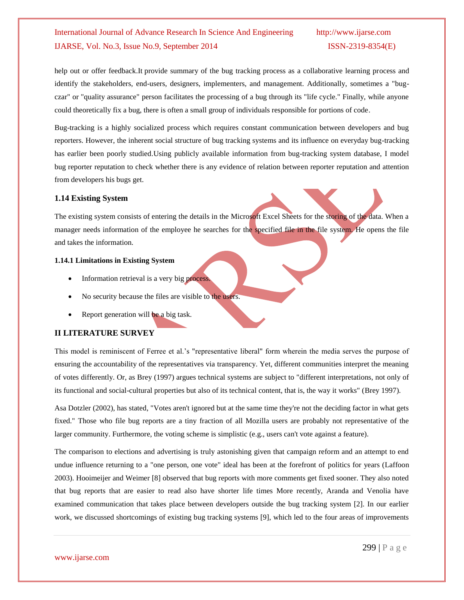help out or offer feedback.It provide summary of the bug tracking process as a collaborative learning process and identify the stakeholders, end-users, designers, implementers, and management. Additionally, sometimes a "bugczar" or "quality assurance" person facilitates the processing of a bug through its "life cycle." Finally, while anyone could theoretically fix a bug, there is often a small group of individuals responsible for portions of code.

Bug-tracking is a highly socialized process which requires constant communication between developers and bug reporters. However, the inherent social structure of bug tracking systems and its influence on everyday bug-tracking has earlier been poorly studied.Using publicly available information from bug-tracking system database, I model bug reporter reputation to check whether there is any evidence of relation between reporter reputation and attention from developers his bugs get.

## **1.14 Existing System**

The existing system consists of entering the details in the Microsoft Excel Sheets for the storing of the data. When a manager needs information of the employee he searches for the specified file in the file system. He opens the file and takes the information.

## **1.14.1 Limitations in Existing System**

- Information retrieval is a very big process.
- No security because the files are visible to the users.
- Report generation will be a big task.

## **II LITERATURE SURVEY**

This model is reminiscent of Ferree et al.'s "representative liberal" form wherein the media serves the purpose of ensuring the accountability of the representatives via transparency. Yet, different communities interpret the meaning of votes differently. Or, as [Brey \(1997\)](http://scholar.lib.vt.edu/ejournals/SPT/v11n1/reagle.html#brey) argues technical systems are subject to "different interpretations, not only of its functional and social-cultural properties but also of its technical content, that is, the way it works" [\(Brey 1997\)](http://scholar.lib.vt.edu/ejournals/SPT/v11n1/reagle.html#brey).

[Asa Dotzler \(2002\),](http://scholar.lib.vt.edu/ejournals/SPT/v11n1/reagle.html#dotzler) has stated, "Votes aren't ignored but at the same time they're not the deciding factor in what gets fixed." Those who file bug reports are a tiny fraction of all Mozilla users are probably not representative of the larger community. Furthermore, the voting scheme is simplistic (e.g., users can't vote against a feature).

The comparison to elections and advertising is truly astonishing given that campaign reform and an attempt to end undue influence returning to a "one person, one vote" ideal has been at the forefront of politics for years [\(Laffoon](http://scholar.lib.vt.edu/ejournals/SPT/v11n1/reagle.html#laffoon)  [2003\)](http://scholar.lib.vt.edu/ejournals/SPT/v11n1/reagle.html#laffoon). Hooimeijer and Weimer [8] observed that bug reports with more comments get fixed sooner. They also noted that bug reports that are easier to read also have shorter life times More recently, Aranda and Venolia have examined communication that takes place between developers outside the bug tracking system [2]. In our earlier work, we discussed shortcomings of existing bug tracking systems [9], which led to the four areas of improvements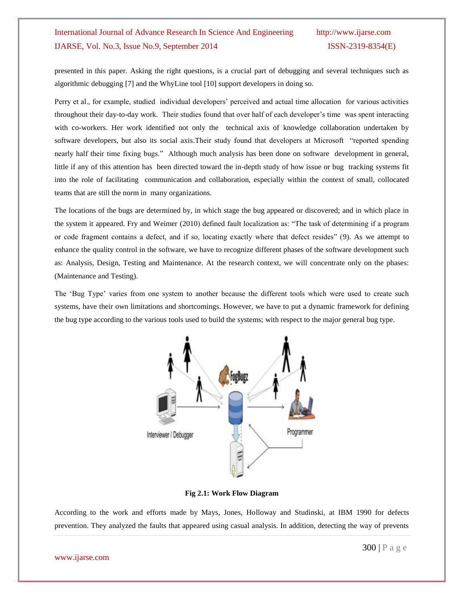presented in this paper. Asking the right questions, is a crucial part of debugging and several techniques such as algorithmic debugging [7] and the WhyLine tool [10] support developers in doing so.

Perry et al., for example, studied individual developers" perceived and actual time allocation for various activities throughout their day-to-day work. Their studies found that over half of each developer"s time was spent interacting with co-workers. Her work identified not only the technical axis of knowledge collaboration undertaken by software developers, but also its social axis.Their study found that developers at Microsoft "reported spending nearly half their time fixing bugs." Although much analysis has been done on software development in general, little if any of this attention has been directed toward the in-depth study of how issue or bug tracking systems fit into the role of facilitating communication and collaboration, especially within the context of small, collocated teams that are still the norm in many organizations.

The locations of the bugs are determined by, in which stage the bug appeared or discovered; and in which place in the system it appeared. Fry and Weimer [\(2010\)](http://www.ncbi.nlm.nih.gov/pmc/articles/PMC3766546/#ref9) defined fault localization as: "The task of determining if a program or code fragment contains a defect, and if so, locating exactly where that defect resides" [\(9\)](http://www.ncbi.nlm.nih.gov/pmc/articles/PMC3766546/#ref9). As we attempt to enhance the quality control in the software, we have to recognize different phases of the software development such as: Analysis, Design, Testing and Maintenance. At the research context, we will concentrate only on the phases: (Maintenance and Testing).

The "Bug Type" varies from one system to another because the different tools which were used to create such systems, have their own limitations and shortcomings. However, we have to put a dynamic framework for defining the bug type according to the various tools used to build the systems; with respect to the major general bug type.



**Fig 2.1: Work Flow Diagram**

According to the work and efforts made by Mays, Jones, Holloway and Studinski, at IBM 1990 for defects prevention. They analyzed the faults that appeared using casual analysis. In addition, detecting the way of prevents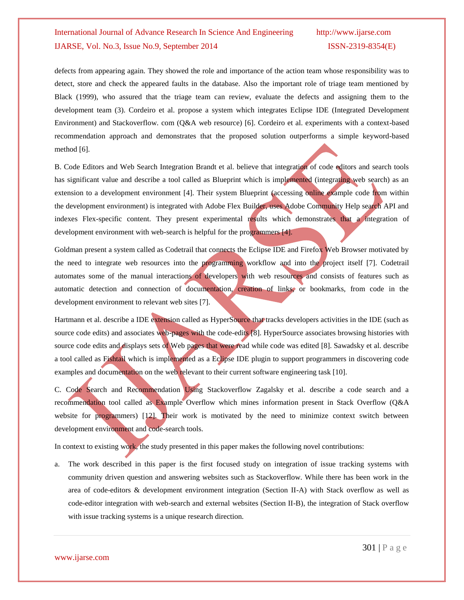defects from appearing again. They showed the role and importance of the action team whose responsibility was to detect, store and check the appeared faults in the database. Also the important role of triage team mentioned by Black [\(1999\)](http://www.ncbi.nlm.nih.gov/pmc/articles/PMC3766546/#ref3), who assured that the triage team can review, evaluate the defects and assigning them to the development team [\(3\)](http://www.ncbi.nlm.nih.gov/pmc/articles/PMC3766546/#ref3). Cordeiro et al. propose a system which integrates Eclipse IDE (Integrated Development Environment) and Stackoverflow. com (Q&A web resource) [6]. Cordeiro et al. experiments with a context-based recommendation approach and demonstrates that the proposed solution outperforms a simple keyword-based method [6].

B. Code Editors and Web Search Integration Brandt et al. believe that integration of code editors and search tools has significant value and describe a tool called as Blueprint which is implemented (integrating web search) as an extension to a development environment [4]. Their system Blueprint (accessing online example code from within the development environment) is integrated with Adobe Flex Builder, uses Adobe Community Help search API and indexes Flex-specific content. They present experimental results which demonstrates that a integration of development environment with web-search is helpful for the programmers [4].

Goldman present a system called as Codetrail that connects the Eclipse IDE and Firefox Web Browser motivated by the need to integrate web resources into the programming workflow and into the project itself [7]. Codetrail automates some of the manual interactions of developers with web resources and consists of features such as automatic detection and connection of documentation, creation of links, or bookmarks, from code in the development environment to relevant web sites [7].

Hartmann et al. describe a IDE extension called as HyperSource that tracks developers activities in the IDE (such as source code edits) and associates web-pages with the code-edits [8]. HyperSource associates browsing histories with source code edits and displays sets of Web pages that were read while code was edited [8]. Sawadsky et al. describe a tool called as Fishtail which is implemented as a Eclipse IDE plugin to support programmers in discovering code examples and documentation on the web relevant to their current software engineering task [10].

C. Code Search and Recommendation Using Stackoverflow Zagalsky et al. describe a code search and a recommendation tool called as Example Overflow which mines information present in Stack Overflow (Q&A website for programmers) [12]. Their work is motivated by the need to minimize context switch between development environment and code-search tools.

In context to existing work, the study presented in this paper makes the following novel contributions:

a. The work described in this paper is the first focused study on integration of issue tracking systems with community driven question and answering websites such as Stackoverflow. While there has been work in the area of code-editors & development environment integration (Section II-A) with Stack overflow as well as code-editor integration with web-search and external websites (Section II-B), the integration of Stack overflow with issue tracking systems is a unique research direction.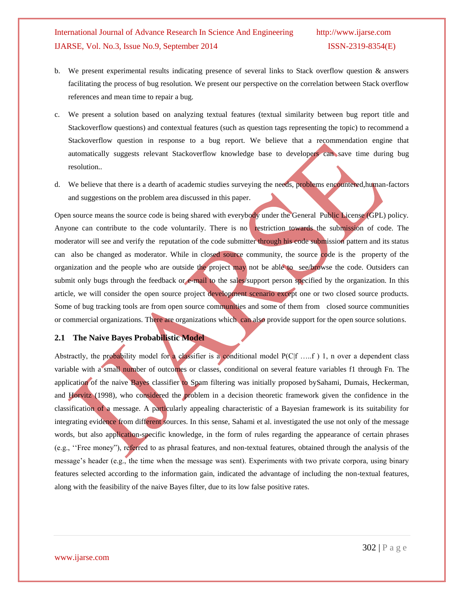- b. We present experimental results indicating presence of several links to Stack overflow question & answers facilitating the process of bug resolution. We present our perspective on the correlation between Stack overflow references and mean time to repair a bug.
- c. We present a solution based on analyzing textual features (textual similarity between bug report title and Stackoverflow questions) and contextual features (such as question tags representing the topic) to recommend a Stackoverflow question in response to a bug report. We believe that a recommendation engine that automatically suggests relevant Stackoverflow knowledge base to developers can save time during bug resolution..
- d. We believe that there is a dearth of academic studies surveying the needs, problems encountered,human-factors and suggestions on the problem area discussed in this paper.

Open source means the source code is being shared with everybody under the General Public License (GPL) policy. Anyone can contribute to the code voluntarily. There is no restriction towards the submission of code. The moderator will see and verify the reputation of the code submitter through his code submission pattern and its status can also be changed as moderator. While in closed source community, the source code is the property of the organization and the people who are outside the project may not be able to see/browse the code. Outsiders can submit only bugs through the feedback or e-mail to the sales/support person specified by the organization. In this article, we will consider the open source project development scenario except one or two closed source products. Some of bug tracking tools are from open source communities and some of them from closed source communities or commercial organizations. There are organizations which can also provide support for the open source solutions.

## **2.1 The Naive Bayes Probabilistic Model**

Abstractly, the probability model for a classifier is a conditional model  $P(C|f \dots f)$  1, n over a dependent class variable with a small number of outcomes or classes, conditional on several feature variables f1 through Fn. The application of the naive Bayes classifier to Spam filtering was initially proposed bySahami, Dumais, Heckerman, and Horvitz (1998), who considered the problem in a decision theoretic framework given the confidence in the classification of a message. A particularly appealing characteristic of a Bayesian framework is its suitability for integrating evidence from different sources. In this sense, Sahami et al. investigated the use not only of the message words, but also application-specific knowledge, in the form of rules regarding the appearance of certain phrases (e.g., ""Free money"), referred to as phrasal features, and non-textual features, obtained through the analysis of the message's header (e.g., the time when the message was sent). Experiments with two private corpora, using binary features selected according to the information gain, indicated the advantage of including the non-textual features, along with the feasibility of the naive Bayes filter, due to its low false positive rates.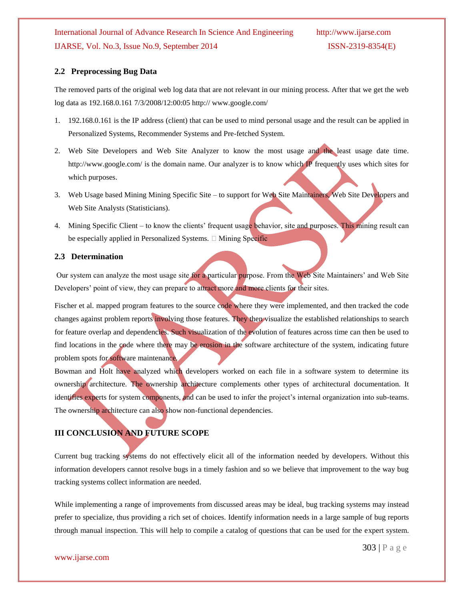## **2.2 Preprocessing Bug Data**

The removed parts of the original web log data that are not relevant in our mining process. After that we get the web log data as 192.168.0.161 7/3/2008/12:00:05 http:// www.google.com/

- 1. 192.168.0.161 is the IP address (client) that can be used to mind personal usage and the result can be applied in Personalized Systems, Recommender Systems and Pre-fetched System.
- 2. Web Site Developers and Web Site Analyzer to know the most usage and the least usage date time. http://www.google.com/ is the domain name. Our analyzer is to know which IP frequently uses which sites for which purposes.
- 3. Web Usage based Mining Mining Specific Site to support for Web Site Maintainers, Web Site Developers and Web Site Analysts (Statisticians).
- 4. Mining Specific Client to know the clients' frequent usage behavior, site and purposes. This mining result can be especially applied in Personalized Systems.  $\Box$  Mining Specific

## **2.3 Determination**

Our system can analyze the most usage site for a particular purpose. From the Web Site Maintainers' and Web Site Developers' point of view, they can prepare to attract more and more clients for their sites.

Fischer et al. mapped program features to the source code where they were implemented, and then tracked the code changes against problem reports involving those features. They then visualize the established relationships to search for feature overlap and dependencies. Such visualization of the evolution of features across time can then be used to find locations in the code where there may be erosion in the software architecture of the system, indicating future problem spots for software maintenance.

Bowman and Holt have analyzed which developers worked on each file in a software system to determine its ownership architecture*.* The ownership architecture complements other types of architectural documentation. It identifies experts for system components, and can be used to infer the project's internal organization into sub-teams. The ownership architecture can also show non-functional dependencies.

## **III CONCLUSION AND FUTURE SCOPE**

Current bug tracking systems do not effectively elicit all of the information needed by developers. Without this information developers cannot resolve bugs in a timely fashion and so we believe that improvement to the way bug tracking systems collect information are needed.

While implementing a range of improvements from discussed areas may be ideal, bug tracking systems may instead prefer to specialize, thus providing a rich set of choices. Identify information needs in a large sample of bug reports through manual inspection. This will help to compile a catalog of questions that can be used for the expert system.